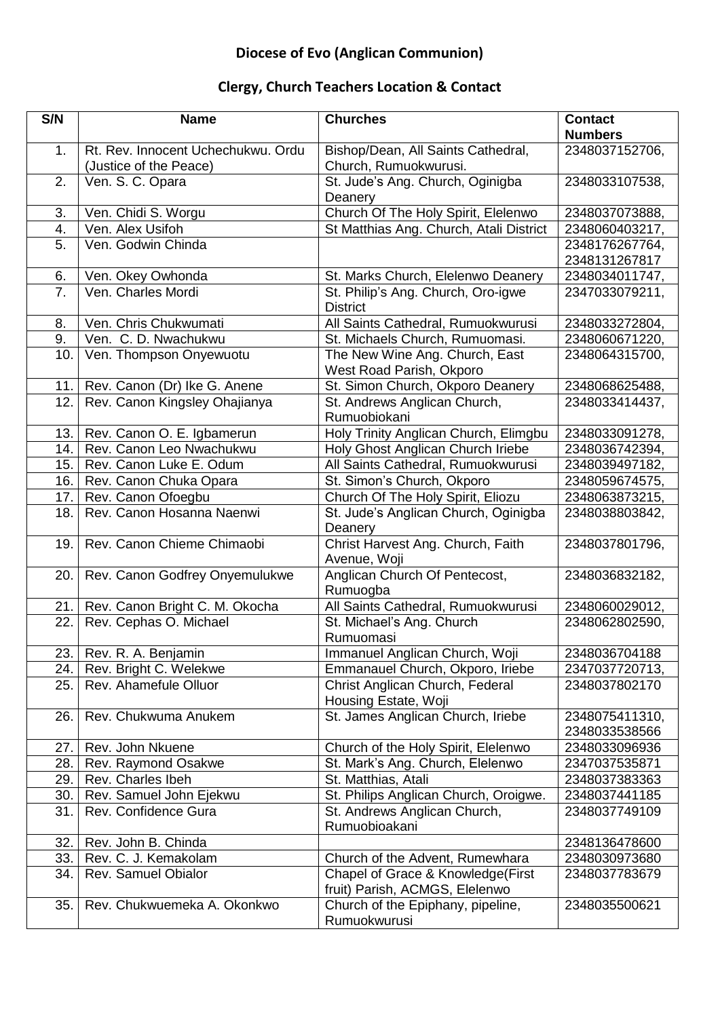# **Clergy, Church Teachers Location & Contact**

| S/N | <b>Name</b>                                                  | <b>Churches</b>                                                     | <b>Contact</b>                  |
|-----|--------------------------------------------------------------|---------------------------------------------------------------------|---------------------------------|
|     |                                                              |                                                                     | <b>Numbers</b>                  |
| 1.  | Rt. Rev. Innocent Uchechukwu, Ordu<br>(Justice of the Peace) | Bishop/Dean, All Saints Cathedral,<br>Church, Rumuokwurusi.         | 2348037152706,                  |
| 2.  | Ven. S. C. Opara                                             | St. Jude's Ang. Church, Oginigba<br>Deanery                         | 2348033107538,                  |
| 3.  | Ven. Chidi S. Worgu                                          | Church Of The Holy Spirit, Elelenwo                                 | 2348037073888,                  |
| 4.  | Ven. Alex Usifoh                                             | St Matthias Ang. Church, Atali District                             | 2348060403217,                  |
| 5.  | Ven. Godwin Chinda                                           |                                                                     | 2348176267764,                  |
|     |                                                              |                                                                     | 2348131267817                   |
| 6.  | Ven. Okey Owhonda                                            | St. Marks Church, Elelenwo Deanery                                  | 2348034011747,                  |
| 7.  | Ven. Charles Mordi                                           | St. Philip's Ang. Church, Oro-igwe<br><b>District</b>               | 2347033079211,                  |
| 8.  | Ven. Chris Chukwumati                                        | All Saints Cathedral, Rumuokwurusi                                  | 2348033272804,                  |
| 9.  | Ven. C. D. Nwachukwu                                         | St. Michaels Church, Rumuomasi.                                     | 2348060671220,                  |
| 10. | Ven. Thompson Onyewuotu                                      | The New Wine Ang. Church, East<br>West Road Parish, Okporo          | 2348064315700,                  |
| 11. | Rev. Canon (Dr) Ike G. Anene                                 | St. Simon Church, Okporo Deanery                                    | 2348068625488,                  |
| 12. | Rev. Canon Kingsley Ohajianya                                | St. Andrews Anglican Church,<br>Rumuobiokani                        | 2348033414437,                  |
| 13. | Rev. Canon O. E. Igbamerun                                   | Holy Trinity Anglican Church, Elimgbu                               | 2348033091278,                  |
| 14. | Rev. Canon Leo Nwachukwu                                     | Holy Ghost Anglican Church Iriebe                                   | 2348036742394,                  |
| 15. | Rev. Canon Luke E. Odum                                      | All Saints Cathedral, Rumuokwurusi                                  | 2348039497182,                  |
| 16. | Rev. Canon Chuka Opara                                       | St. Simon's Church, Okporo                                          | 2348059674575,                  |
| 17. | Rev. Canon Ofoegbu                                           | Church Of The Holy Spirit, Eliozu                                   | 2348063873215,                  |
| 18. | Rev. Canon Hosanna Naenwi                                    | St. Jude's Anglican Church, Oginigba<br>Deanery                     | 2348038803842,                  |
| 19. | Rev. Canon Chieme Chimaobi                                   | Christ Harvest Ang. Church, Faith<br>Avenue, Woji                   | 2348037801796,                  |
| 20. | Rev. Canon Godfrey Onyemulukwe                               | Anglican Church Of Pentecost,<br>Rumuogba                           | 2348036832182,                  |
| 21. | Rev. Canon Bright C. M. Okocha                               | All Saints Cathedral, Rumuokwurusi                                  | 2348060029012,                  |
| 22. | Rev. Cephas O. Michael                                       | St. Michael's Ang. Church<br>Rumuomasi                              | 2348062802590,                  |
| 23. | Rev. R. A. Benjamin                                          | Immanuel Anglican Church, Woji                                      | 2348036704188                   |
| 24. | Rev. Bright C. Welekwe                                       | Emmanauel Church, Okporo, Iriebe                                    | 2347037720713,                  |
| 25. | Rev. Ahamefule Olluor                                        | Christ Anglican Church, Federal<br>Housing Estate, Woji             | 2348037802170                   |
| 26. | Rev. Chukwuma Anukem                                         | St. James Anglican Church, Iriebe                                   | 2348075411310,<br>2348033538566 |
| 27. | Rev. John Nkuene                                             | Church of the Holy Spirit, Elelenwo                                 | 2348033096936                   |
| 28. | Rev. Raymond Osakwe                                          | St. Mark's Ang. Church, Elelenwo                                    | 2347037535871                   |
| 29. | Rev. Charles Ibeh                                            | St. Matthias, Atali                                                 | 2348037383363                   |
| 30. | Rev. Samuel John Ejekwu                                      | St. Philips Anglican Church, Oroigwe.                               | 2348037441185                   |
| 31. | Rev. Confidence Gura                                         | St. Andrews Anglican Church,<br>Rumuobioakani                       | 2348037749109                   |
| 32. | Rev. John B. Chinda                                          |                                                                     | 2348136478600                   |
| 33. | Rev. C. J. Kemakolam                                         | Church of the Advent, Rumewhara                                     | 2348030973680                   |
| 34. | Rev. Samuel Obialor                                          | Chapel of Grace & Knowledge(First<br>fruit) Parish, ACMGS, Elelenwo | 2348037783679                   |
| 35. | Rev. Chukwuemeka A. Okonkwo                                  | Church of the Epiphany, pipeline,<br>Rumuokwurusi                   | 2348035500621                   |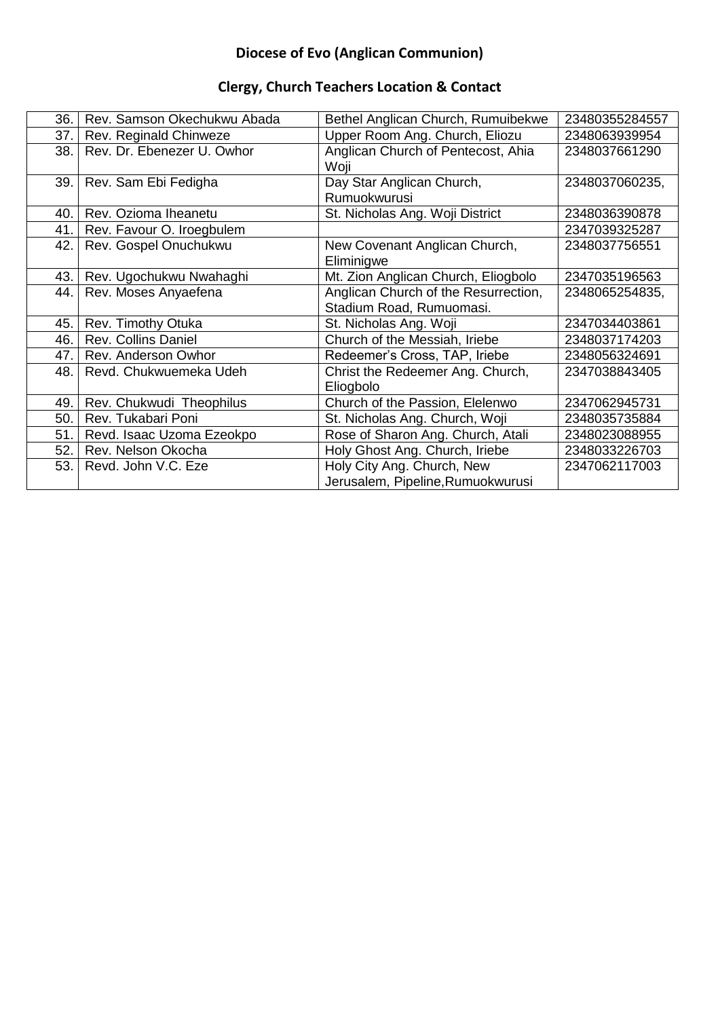# **Clergy, Church Teachers Location & Contact**

| 36. | Rev. Samson Okechukwu Abada | Bethel Anglican Church, Rumuibekwe   | 23480355284557 |
|-----|-----------------------------|--------------------------------------|----------------|
| 37. | Rev. Reginald Chinweze      | Upper Room Ang. Church, Eliozu       | 2348063939954  |
| 38. | Rev. Dr. Ebenezer U. Owhor  | Anglican Church of Pentecost, Ahia   | 2348037661290  |
|     |                             | Woji                                 |                |
| 39. | Rev. Sam Ebi Fedigha        | Day Star Anglican Church,            | 2348037060235, |
|     |                             | <b>Rumuokwurusi</b>                  |                |
| 40. | Rev. Ozioma Iheanetu        | St. Nicholas Ang. Woji District      | 2348036390878  |
| 41. | Rev. Favour O. Iroegbulem   |                                      | 2347039325287  |
| 42. | Rev. Gospel Onuchukwu       | New Covenant Anglican Church,        | 2348037756551  |
|     |                             | Eliminigwe                           |                |
| 43. | Rev. Ugochukwu Nwahaghi     | Mt. Zion Anglican Church, Eliogbolo  | 2347035196563  |
| 44. | Rev. Moses Anyaefena        | Anglican Church of the Resurrection, | 2348065254835, |
|     |                             | Stadium Road, Rumuomasi.             |                |
| 45. | Rev. Timothy Otuka          | St. Nicholas Ang. Woji               | 2347034403861  |
| 46. | <b>Rev. Collins Daniel</b>  | Church of the Messiah, Iriebe        | 2348037174203  |
| 47. | Rev. Anderson Owhor         | Redeemer's Cross, TAP, Iriebe        | 2348056324691  |
| 48. | Revd. Chukwuemeka Udeh      | Christ the Redeemer Ang. Church,     | 2347038843405  |
|     |                             | Eliogbolo                            |                |
| 49. | Rev. Chukwudi Theophilus    | Church of the Passion, Elelenwo      | 2347062945731  |
| 50. | Rev. Tukabari Poni          | St. Nicholas Ang. Church, Woji       | 2348035735884  |
| 51. | Revd. Isaac Uzoma Ezeokpo   | Rose of Sharon Ang. Church, Atali    | 2348023088955  |
| 52. | Rev. Nelson Okocha          | Holy Ghost Ang. Church, Iriebe       | 2348033226703  |
| 53. | Revd. John V.C. Eze         | Holy City Ang. Church, New           | 2347062117003  |
|     |                             | Jerusalem, Pipeline, Rumuokwurusi    |                |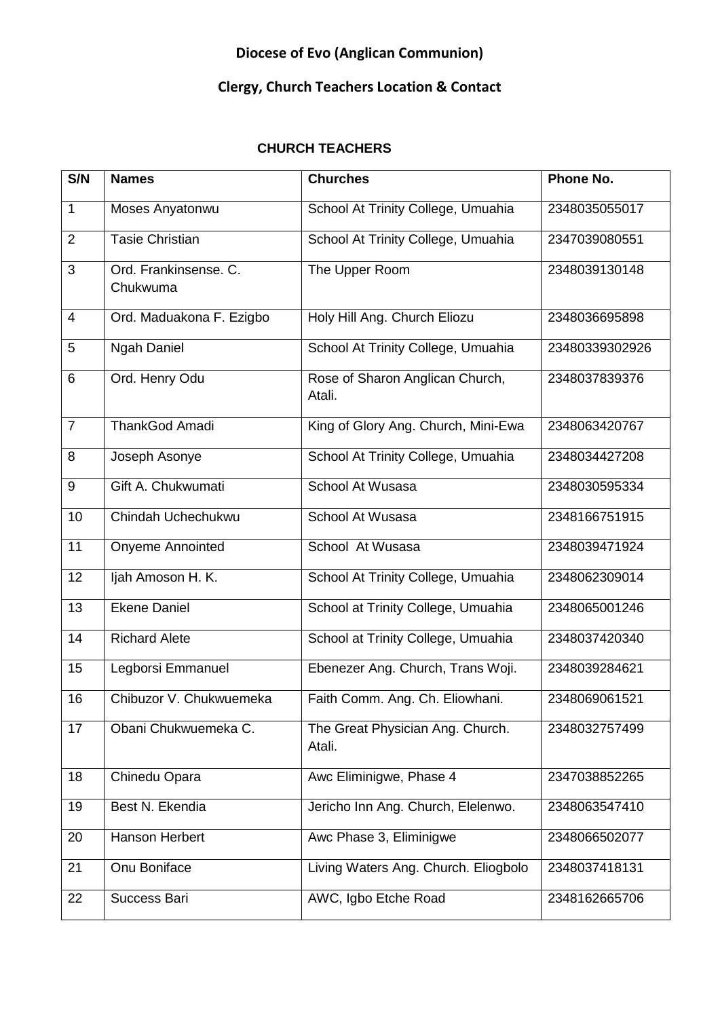### **Clergy, Church Teachers Location & Contact**

### **CHURCH TEACHERS**

| S/N                      | <b>Names</b>                      | <b>Churches</b>                            | Phone No.      |
|--------------------------|-----------------------------------|--------------------------------------------|----------------|
| $\mathbf{1}$             | Moses Anyatonwu                   | School At Trinity College, Umuahia         | 2348035055017  |
| $\overline{2}$           | <b>Tasie Christian</b>            | School At Trinity College, Umuahia         | 2347039080551  |
| 3                        | Ord. Frankinsense. C.<br>Chukwuma | The Upper Room                             | 2348039130148  |
| $\overline{\mathcal{A}}$ | Ord. Maduakona F. Ezigbo          | Holy Hill Ang. Church Eliozu               | 2348036695898  |
| 5                        | Ngah Daniel                       | School At Trinity College, Umuahia         | 23480339302926 |
| 6                        | Ord. Henry Odu                    | Rose of Sharon Anglican Church,<br>Atali.  | 2348037839376  |
| $\overline{7}$           | <b>ThankGod Amadi</b>             | King of Glory Ang. Church, Mini-Ewa        | 2348063420767  |
| 8                        | Joseph Asonye                     | School At Trinity College, Umuahia         | 2348034427208  |
| 9                        | Gift A. Chukwumati                | School At Wusasa                           | 2348030595334  |
| 10                       | Chindah Uchechukwu                | School At Wusasa                           | 2348166751915  |
| 11                       | Onyeme Annointed                  | School At Wusasa                           | 2348039471924  |
| 12                       | Ijah Amoson H. K.                 | School At Trinity College, Umuahia         | 2348062309014  |
| 13                       | <b>Ekene Daniel</b>               | School at Trinity College, Umuahia         | 2348065001246  |
| 14                       | <b>Richard Alete</b>              | School at Trinity College, Umuahia         | 2348037420340  |
| 15                       | Legborsi Emmanuel                 | Ebenezer Ang. Church, Trans Woji.          | 2348039284621  |
| 16                       | Chibuzor V. Chukwuemeka           | Faith Comm. Ang. Ch. Eliowhani.            | 2348069061521  |
| 17                       | Obani Chukwuemeka C.              | The Great Physician Ang. Church.<br>Atali. | 2348032757499  |
| 18                       | Chinedu Opara                     | Awc Eliminigwe, Phase 4                    | 2347038852265  |
| 19                       | Best N. Ekendia                   | Jericho Inn Ang. Church, Elelenwo.         | 2348063547410  |
| 20                       | Hanson Herbert                    | Awc Phase 3, Eliminigwe                    | 2348066502077  |
| 21                       | Onu Boniface                      | Living Waters Ang. Church. Eliogbolo       | 2348037418131  |
| 22                       | Success Bari                      | AWC, Igbo Etche Road                       | 2348162665706  |